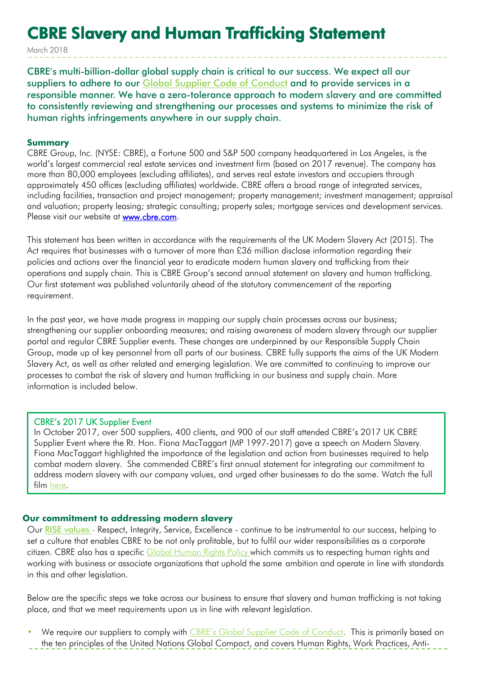# CBRE Slavery and Human Trafficking Statement

March 2018

CBRE's multi-billion-dollar global supply chain is critical to our success. We expect all our suppliers to adhere to our [Global Supplier Code of Conduct](https://www.cbre.com/about/corporate-responsibility/procurement/supplier-code-of-conduct) and to provide services in a responsible manner. We have a zero-tolerance approach to modern slavery and are committed to consistently reviewing and strengthening our processes and systems to minimize the risk of human rights infringements anywhere in our supply chain.

#### **Summary**

CBRE Group, Inc. (NYSE: CBRE), a Fortune 500 and S&P 500 company headquartered in Los Angeles, is the world's largest commercial real estate services and investment firm (based on 2017 revenue). The company has more than 80,000 employees (excluding affiliates), and serves real estate investors and occupiers through approximately 450 offices (excluding affiliates) worldwide. CBRE offers a broad range of integrated services, including facilities, transaction and project management; property management; investment management; appraisal and valuation; property leasing; strategic consulting; property sales; mortgage services and development services. Please visit our website at **www.cbre.com.** 

This statement has been written in accordance with the requirements of the UK Modern Slavery Act (2015). The Act requires that businesses with a turnover of more than £36 million disclose information regarding their policies and actions over the financial year to eradicate modern human slavery and trafficking from their operations and supply chain. This is CBRE Group's second annual statement on slavery and human trafficking. Our first statement was published voluntarily ahead of the statutory commencement of the reporting requirement.

In the past year, we have made progress in mapping our supply chain processes across our business; strengthening our supplier onboarding measures; and raising awareness of modern slavery through our supplier portal and regular CBRE Supplier events. These changes are underpinned by our Responsible Supply Chain Group, made up of key personnel from all parts of our business. CBRE fully supports the aims of the UK Modern Slavery Act, as well as other related and emerging legislation. We are committed to continuing to improve our processes to combat the risk of slavery and human trafficking in our business and supply chain. More information is included below.

### CBRE's 2017 UK Supplier Event

In October 2017, over 500 suppliers, 400 clients, and 900 of our staff attended CBRE's 2017 UK CBRE Supplier Event where the Rt. Hon. Fiona MacTaggart (MP 1997-2017) gave a speech on Modern Slavery. Fiona MacTaggart highlighted the importance of the legislation and action from businesses required to help combat modern slavery. She commended CBRE's first annual statement for integrating our commitment to address modern slavery with our company values, and urged other businesses to do the same. Watch the full film [here.](https://www.youtube.com/watch?v=G_6IgP3BFkU&feature=youtu.be)

### **Our commitment to addressing modern slavery**

Our RISE [values](https://www.cbre.co.uk/netherlands/about-cbre/our-organisation/our-rise-values) - Respect, Integrity, Service, Excellence - continue to be instrumental to our success, helping to set a culture that enables CBRE to be not only profitable, but to fulfil our wider responsibilities as a corporate citizen. CBRE also has a specific [Global](https://www.cbre.co.uk/about-cbre/our-policies) Human Rights Policy which commits us to respecting human rights and working with business or associate organizations that uphold the same ambition and operate in line with standards in this and other legislation.

Below are the specific steps we take across our business to ensure that slavery and human trafficking is not taking place, and that we meet requirements upon us in line with relevant legislation.

We require our suppliers to comply with [CBRE's Global Supplier Code of Conduct](https://www.cbre.com/about/corporate-responsibility/procurement/supplier-code-of-conduct). This is primarily based on the ten principles of the United Nations Global Compact, and covers Human Rights, Work Practices, Anti-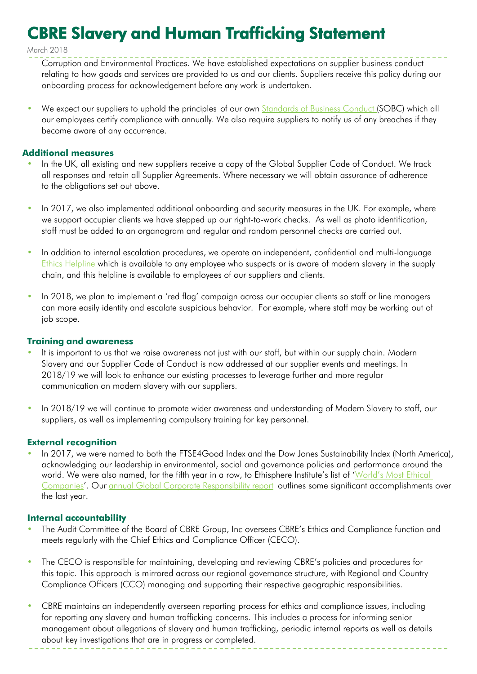# CBRE Slavery and Human Trafficking Statement

March 2018

- Corruption and Environmental Practices. We have established expectations on supplier business conduct relating to how goods and services are provided to us and our clients. Suppliers receive this policy during our onboarding process for acknowledgement before any work is undertaken.
- We expect our suppliers to uphold the principles of our own **[Standards](https://www.cbre.com/about/corporate-responsibility/ethics-and-compliance) of Business Conduct** (SOBC) which all our employees certify compliance with annually. We also require suppliers to notify us of any breaches if they become aware of any occurrence.

## **Additional measures**

- In the UK, all existing and new suppliers receive a copy of the Global Supplier Code of Conduct. We track all responses and retain all Supplier Agreements. Where necessary we will obtain assurance of adherence to the obligations set out above.
- In 2017, we also implemented additional onboarding and security measures in the UK. For example, where we support occupier clients we have stepped up our right-to-work checks. As well as photo identification, staff must be added to an organogram and regular and random personnel checks are carried out.
- In addition to internal escalation procedures, we operate an independent, confidential and multi-language [Ethics Helpline](https://secure.ethicspoint.com/domain/media/en/gui/7298/index.html) which is available to any employee who suspects or is aware of modern slavery in the supply chain, and this helpline is available to employees of our suppliers and clients.
- In 2018, we plan to implement a 'red flag' campaign across our occupier clients so staff or line managers can more easily identify and escalate suspicious behavior. For example, where staff may be working out of job scope.

## **Training and awareness**

- It is important to us that we raise awareness not just with our staff, but within our supply chain. Modern Slavery and our Supplier Code of Conduct is now addressed at our supplier events and meetings. In 2018/19 we will look to enhance our existing processes to leverage further and more regular communication on modern slavery with our suppliers.
- In 2018/19 we will continue to promote wider awareness and understanding of Modern Slavery to staff, our suppliers, as well as implementing compulsory training for key personnel.

# **External recognition**

• In 2017, we were named to both the FTSE4Good Index and the Dow Jones Sustainability Index (North America), acknowledging our leadership in environmental, social and governance policies and performance around the world. We were also named, for the fifth year in a row, to Ethisphere Institute's list of ['World's Most Ethical](https://www.cbre.us/about/media-center/cbre-named-a-worlds-most-ethical-company--for-fifth-straight-year)  [Companies](https://www.cbre.us/about/media-center/cbre-named-a-worlds-most-ethical-company--for-fifth-straight-year)'. Our annual Global Corporate [Responsibility](http://www.cbre.com/responsibility) report outlines some significant accomplishments over the last year.

### **Internal accountability**

- The Audit Committee of the Board of CBRE Group, Inc oversees CBRE's Ethics and Compliance function and meets regularly with the Chief Ethics and Compliance Officer (CECO).
- The CECO is responsible for maintaining, developing and reviewing CBRE's policies and procedures for this topic. This approach is mirrored across our regional governance structure, with Regional and Country Compliance Officers (CCO) managing and supporting their respective geographic responsibilities.
- CBRE maintains an independently overseen reporting process for ethics and compliance issues, including for reporting any slavery and human trafficking concerns. This includes a process for informing senior management about allegations of slavery and human trafficking, periodic internal reports as well as details about key investigations that are in progress or completed.